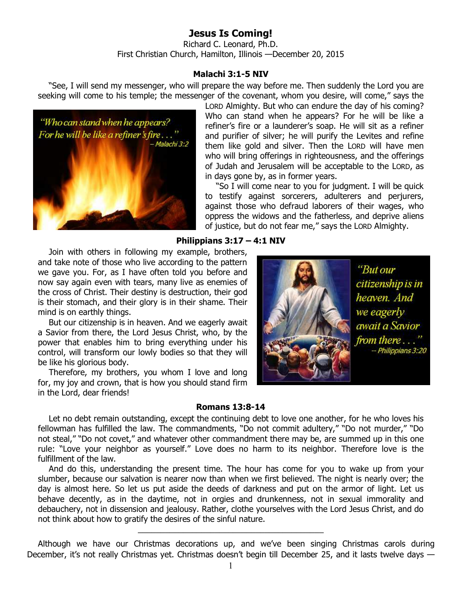## **Jesus Is Coming!**

Richard C. Leonard, Ph.D. First Christian Church, Hamilton, Illinois —December 20, 2015

## **Malachi 3:1-5 NIV**

"See, I will send my messenger, who will prepare the way before me. Then suddenly the Lord you are seeking will come to his temple; the messenger of the covenant, whom you desire, will come," says the



LORD Almighty. But who can endure the day of his coming? Who can stand when he appears? For he will be like a refiner's fire or a launderer's soap. He will sit as a refiner and purifier of silver; he will purify the Levites and refine them like gold and silver. Then the LORD will have men who will bring offerings in righteousness, and the offerings of Judah and Jerusalem will be acceptable to the LORD, as in days gone by, as in former years.

"So I will come near to you for judgment. I will be quick to testify against sorcerers, adulterers and perjurers, against those who defraud laborers of their wages, who oppress the widows and the fatherless, and deprive aliens of justice, but do not fear me," says the LORD Almighty.

## **Philippians 3:17 – 4:1 NIV**

Join with others in following my example, brothers, and take note of those who live according to the pattern we gave you. For, as I have often told you before and now say again even with tears, many live as enemies of the cross of Christ. Their destiny is destruction, their god is their stomach, and their glory is in their shame. Their mind is on earthly things.

But our citizenship is in heaven. And we eagerly await a Savior from there, the Lord Jesus Christ, who, by the power that enables him to bring everything under his control, will transform our lowly bodies so that they will be like his glorious body.

Therefore, my brothers, you whom I love and long for, my joy and crown, that is how you should stand firm in the Lord, dear friends!



"But our citizenship is in heaven. And we eagerly *await a Savior* from there. -- Philippians 3:20

## **Romans 13:8-14**

Let no debt remain outstanding, except the continuing debt to love one another, for he who loves his fellowman has fulfilled the law. The commandments, "Do not commit adultery," "Do not murder," "Do not steal," "Do not covet," and whatever other commandment there may be, are summed up in this one rule: "Love your neighbor as yourself." Love does no harm to its neighbor. Therefore love is the fulfillment of the law.

And do this, understanding the present time. The hour has come for you to wake up from your slumber, because our salvation is nearer now than when we first believed. The night is nearly over; the day is almost here. So let us put aside the deeds of darkness and put on the armor of light. Let us behave decently, as in the daytime, not in orgies and drunkenness, not in sexual immorality and debauchery, not in dissension and jealousy. Rather, clothe yourselves with the Lord Jesus Christ, and do not think about how to gratify the desires of the sinful nature.

 $\overline{\phantom{a}}$  , and the contract of the contract of the contract of the contract of the contract of the contract of the contract of the contract of the contract of the contract of the contract of the contract of the contrac

Although we have our Christmas decorations up, and we've been singing Christmas carols during December, it's not really Christmas yet. Christmas doesn't begin till December 25, and it lasts twelve days —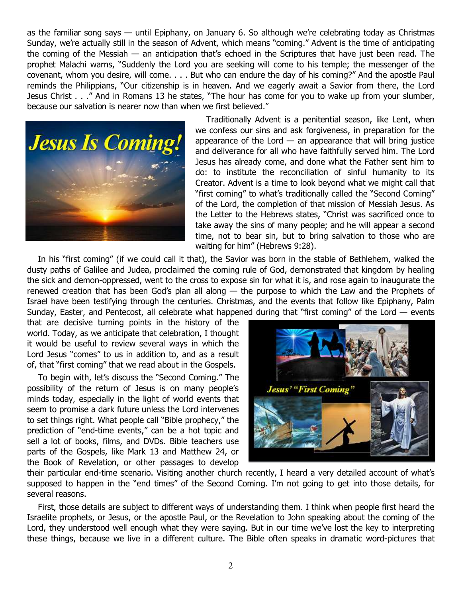as the familiar song says — until Epiphany, on January 6. So although we're celebrating today as Christmas Sunday, we're actually still in the season of Advent, which means "coming." Advent is the time of anticipating the coming of the Messiah — an anticipation that's echoed in the Scriptures that have just been read. The prophet Malachi warns, "Suddenly the Lord you are seeking will come to his temple; the messenger of the covenant, whom you desire, will come. . . . But who can endure the day of his coming?" And the apostle Paul reminds the Philippians, "Our citizenship is in heaven. And we eagerly await a Savior from there, the Lord Jesus Christ . . ." And in Romans 13 he states, "The hour has come for you to wake up from your slumber, because our salvation is nearer now than when we first believed."



Traditionally Advent is a penitential season, like Lent, when we confess our sins and ask forgiveness, in preparation for the appearance of the Lord  $-$  an appearance that will bring justice and deliverance for all who have faithfully served him. The Lord Jesus has already come, and done what the Father sent him to do: to institute the reconciliation of sinful humanity to its Creator. Advent is a time to look beyond what we might call that "first coming" to what's traditionally called the "Second Coming" of the Lord, the completion of that mission of Messiah Jesus. As the Letter to the Hebrews states, "Christ was sacrificed once to take away the sins of many people; and he will appear a second time, not to bear sin, but to bring salvation to those who are waiting for him" (Hebrews 9:28).

In his "first coming" (if we could call it that), the Savior was born in the stable of Bethlehem, walked the dusty paths of Galilee and Judea, proclaimed the coming rule of God, demonstrated that kingdom by healing the sick and demon-oppressed, went to the cross to expose sin for what it is, and rose again to inaugurate the renewed creation that has been God's plan all along — the purpose to which the Law and the Prophets of Israel have been testifying through the centuries. Christmas, and the events that follow like Epiphany, Palm Sunday, Easter, and Pentecost, all celebrate what happened during that "first coming" of the Lord  $-$  events

that are decisive turning points in the history of the world. Today, as we anticipate that celebration, I thought it would be useful to review several ways in which the Lord Jesus "comes" to us in addition to, and as a result of, that "first coming" that we read about in the Gospels.

To begin with, let's discuss the "Second Coming." The possibility of the return of Jesus is on many people's minds today, especially in the light of world events that seem to promise a dark future unless the Lord intervenes to set things right. What people call "Bible prophecy," the prediction of "end-time events," can be a hot topic and sell a lot of books, films, and DVDs. Bible teachers use parts of the Gospels, like Mark 13 and Matthew 24, or the Book of Revelation, or other passages to develop



their particular end-time scenario. Visiting another church recently, I heard a very detailed account of what's supposed to happen in the "end times" of the Second Coming. I'm not going to get into those details, for several reasons.

First, those details are subject to different ways of understanding them. I think when people first heard the Israelite prophets, or Jesus, or the apostle Paul, or the Revelation to John speaking about the coming of the Lord, they understood well enough what they were saying. But in our time we've lost the key to interpreting these things, because we live in a different culture. The Bible often speaks in dramatic word-pictures that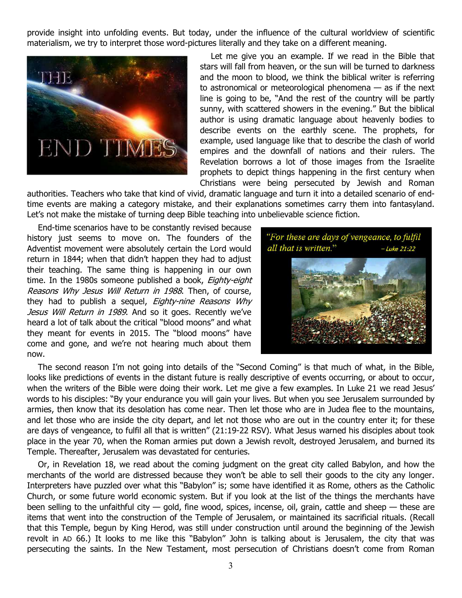provide insight into unfolding events. But today, under the influence of the cultural worldview of scientific materialism, we try to interpret those word-pictures literally and they take on a different meaning.



Let me give you an example. If we read in the Bible that stars will fall from heaven, or the sun will be turned to darkness and the moon to blood, we think the biblical writer is referring to astronomical or meteorological phenomena  $-$  as if the next line is going to be, "And the rest of the country will be partly sunny, with scattered showers in the evening." But the biblical author is using dramatic language about heavenly bodies to describe events on the earthly scene. The prophets, for example, used language like that to describe the clash of world empires and the downfall of nations and their rulers. The Revelation borrows a lot of those images from the Israelite prophets to depict things happening in the first century when Christians were being persecuted by Jewish and Roman

authorities. Teachers who take that kind of vivid, dramatic language and turn it into a detailed scenario of endtime events are making a category mistake, and their explanations sometimes carry them into fantasyland. Let's not make the mistake of turning deep Bible teaching into unbelievable science fiction.

End-time scenarios have to be constantly revised because history just seems to move on. The founders of the Adventist movement were absolutely certain the Lord would return in 1844; when that didn't happen they had to adjust their teaching. The same thing is happening in our own time. In the 1980s someone published a book, Eighty-eight Reasons Why Jesus Will Return in 1988. Then, of course, they had to publish a sequel, Eighty-nine Reasons Why Jesus Will Return in 1989. And so it goes. Recently we've heard a lot of talk about the critical "blood moons" and what they meant for events in 2015. The "blood moons" have come and gone, and we're not hearing much about them now.



The second reason I'm not going into details of the "Second Coming" is that much of what, in the Bible, looks like predictions of events in the distant future is really descriptive of events occurring, or about to occur, when the writers of the Bible were doing their work. Let me give a few examples. In Luke 21 we read Jesus' words to his disciples: "By your endurance you will gain your lives. But when you see Jerusalem surrounded by armies, then know that its desolation has come near. Then let those who are in Judea flee to the mountains, and let those who are inside the city depart, and let not those who are out in the country enter it; for these are days of vengeance, to fulfil all that is written" (21:19-22 RSV). What Jesus warned his disciples about took place in the year 70, when the Roman armies put down a Jewish revolt, destroyed Jerusalem, and burned its Temple. Thereafter, Jerusalem was devastated for centuries.

Or, in Revelation 18, we read about the coming judgment on the great city called Babylon, and how the merchants of the world are distressed because they won't be able to sell their goods to the city any longer. Interpreters have puzzled over what this "Babylon" is; some have identified it as Rome, others as the Catholic Church, or some future world economic system. But if you look at the list of the things the merchants have been selling to the unfaithful city — gold, fine wood, spices, incense, oil, grain, cattle and sheep — these are items that went into the construction of the Temple of Jerusalem, or maintained its sacrificial rituals. (Recall that this Temple, begun by King Herod, was still under construction until around the beginning of the Jewish revolt in AD 66.) It looks to me like this "Babylon" John is talking about is Jerusalem, the city that was persecuting the saints. In the New Testament, most persecution of Christians doesn't come from Roman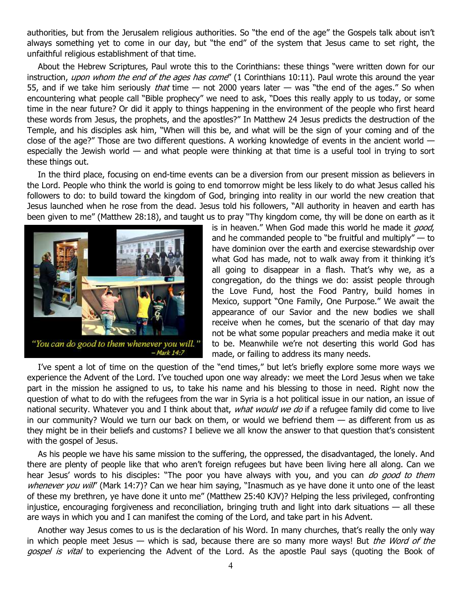authorities, but from the Jerusalem religious authorities. So "the end of the age" the Gospels talk about isn't always something yet to come in our day, but "the end" of the system that Jesus came to set right, the unfaithful religious establishment of that time.

About the Hebrew Scriptures, Paul wrote this to the Corinthians: these things "were written down for our instruction, upon whom the end of the ages has come" (1 Corinthians 10:11). Paul wrote this around the year 55, and if we take him seriously *that* time  $-$  not 2000 years later  $-$  was "the end of the ages." So when encountering what people call "Bible prophecy" we need to ask, "Does this really apply to us today, or some time in the near future? Or did it apply to things happening in the environment of the people who first heard these words from Jesus, the prophets, and the apostles?" In Matthew 24 Jesus predicts the destruction of the Temple, and his disciples ask him, "When will this be, and what will be the sign of your coming and of the close of the age?" Those are two different questions. A working knowledge of events in the ancient world especially the Jewish world — and what people were thinking at that time is a useful tool in trying to sort these things out.

In the third place, focusing on end-time events can be a diversion from our present mission as believers in the Lord. People who think the world is going to end tomorrow might be less likely to do what Jesus called his followers to do: to build toward the kingdom of God, bringing into reality in our world the new creation that Jesus launched when he rose from the dead. Jesus told his followers, "All authority in heaven and earth has been given to me" (Matthew 28:18), and taught us to pray "Thy kingdom come, thy will be done on earth as it



is in heaven." When God made this world he made it good, and he commanded people to "be fruitful and multiply"  $-$  to have dominion over the earth and exercise stewardship over what God has made, not to walk away from it thinking it's all going to disappear in a flash. That's why we, as a congregation, do the things we do: assist people through the Love Fund, host the Food Pantry, build homes in Mexico, support "One Family, One Purpose." We await the appearance of our Savior and the new bodies we shall receive when he comes, but the scenario of that day may not be what some popular preachers and media make it out to be. Meanwhile we're not deserting this world God has made, or failing to address its many needs.

I've spent a lot of time on the question of the "end times," but let's briefly explore some more ways we experience the Advent of the Lord. I've touched upon one way already: we meet the Lord Jesus when we take part in the mission he assigned to us, to take his name and his blessing to those in need. Right now the question of what to do with the refugees from the war in Syria is a hot political issue in our nation, an issue of national security. Whatever you and I think about that, what would we do if a refugee family did come to live in our community? Would we turn our back on them, or would we befriend them — as different from us as they might be in their beliefs and customs? I believe we all know the answer to that question that's consistent with the gospel of Jesus.

As his people we have his same mission to the suffering, the oppressed, the disadvantaged, the lonely. And there are plenty of people like that who aren't foreign refugees but have been living here all along. Can we hear Jesus' words to his disciples: "The poor you have always with you, and you can do good to them whenever you will' (Mark 14:7)? Can we hear him saying, "Inasmuch as ye have done it unto one of the least of these my brethren, ye have done it unto me" (Matthew 25:40 KJV)? Helping the less privileged, confronting injustice, encouraging forgiveness and reconciliation, bringing truth and light into dark situations — all these are ways in which you and I can manifest the coming of the Lord, and take part in his Advent.

Another way Jesus comes to us is the declaration of his Word. In many churches, that's really the only way in which people meet Jesus  $-$  which is sad, because there are so many more ways! But the Word of the gospel is vital to experiencing the Advent of the Lord. As the apostle Paul says (quoting the Book of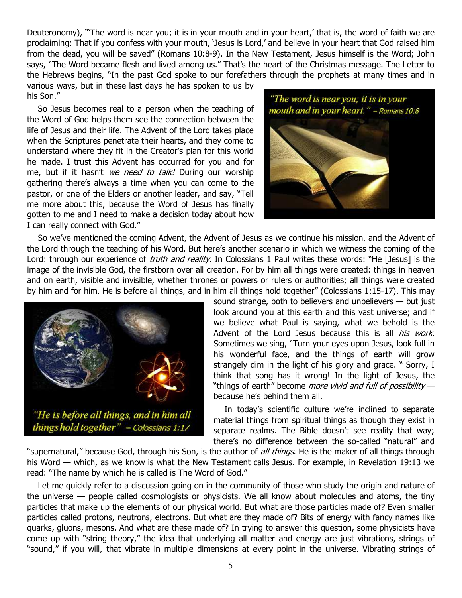Deuteronomy), "The word is near you; it is in your mouth and in your heart,' that is, the word of faith we are proclaiming: That if you confess with your mouth, 'Jesus is Lord,' and believe in your heart that God raised him from the dead, you will be saved" (Romans 10:8-9). In the New Testament, Jesus himself is the Word; John says, "The Word became flesh and lived among us." That's the heart of the Christmas message. The Letter to the Hebrews begins, "In the past God spoke to our forefathers through the prophets at many times and in various ways, but in these last days he has spoken to us by

his Son."

So Jesus becomes real to a person when the teaching of the Word of God helps them see the connection between the life of Jesus and their life. The Advent of the Lord takes place when the Scriptures penetrate their hearts, and they come to understand where they fit in the Creator's plan for this world he made. I trust this Advent has occurred for you and for me, but if it hasn't we need to talk! During our worship gathering there's always a time when you can come to the pastor, or one of the Elders or another leader, and say, "Tell me more about this, because the Word of Jesus has finally gotten to me and I need to make a decision today about how I can really connect with God."



So we've mentioned the coming Advent, the Advent of Jesus as we continue his mission, and the Advent of the Lord through the teaching of his Word. But here's another scenario in which we witness the coming of the Lord: through our experience of *truth and reality*. In Colossians 1 Paul writes these words: "He [Jesus] is the image of the invisible God, the firstborn over all creation. For by him all things were created: things in heaven and on earth, visible and invisible, whether thrones or powers or rulers or authorities; all things were created by him and for him. He is before all things, and in him all things hold together" (Colossians 1:15-17). This may



sound strange, both to believers and unbelievers — but just look around you at this earth and this vast universe; and if we believe what Paul is saying, what we behold is the Advent of the Lord Jesus because this is all *his work*. Sometimes we sing, "Turn your eyes upon Jesus, look full in his wonderful face, and the things of earth will grow strangely dim in the light of his glory and grace. " Sorry, I think that song has it wrong! In the light of Jesus, the "things of earth" become *more vivid and full of possibility*  $$ because he's behind them all.

In today's scientific culture we're inclined to separate material things from spiritual things as though they exist in separate realms. The Bible doesn't see reality that way; there's no difference between the so-called "natural" and

"supernatural," because God, through his Son, is the author of *all things*. He is the maker of all things through his Word — which, as we know is what the New Testament calls Jesus. For example, in Revelation 19:13 we read: "The name by which he is called is The Word of God."

Let me quickly refer to a discussion going on in the community of those who study the origin and nature of the universe — people called cosmologists or physicists. We all know about molecules and atoms, the tiny particles that make up the elements of our physical world. But what are those particles made of? Even smaller particles called protons, neutrons, electrons. But what are they made of? Bits of energy with fancy names like quarks, gluons, mesons. And what are these made of? In trying to answer this question, some physicists have come up with "string theory," the idea that underlying all matter and energy are just vibrations, strings of "sound," if you will, that vibrate in multiple dimensions at every point in the universe. Vibrating strings of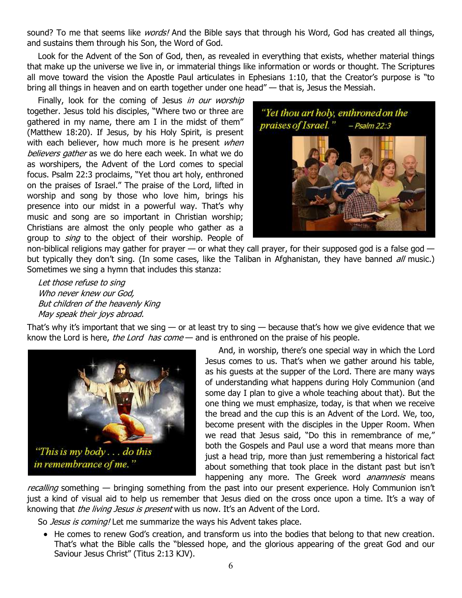sound? To me that seems like *words!* And the Bible says that through his Word, God has created all things, and sustains them through his Son, the Word of God.

Look for the Advent of the Son of God, then, as revealed in everything that exists, whether material things that make up the universe we live in, or immaterial things like information or words or thought. The Scriptures all move toward the vision the Apostle Paul articulates in Ephesians 1:10, that the Creator's purpose is "to bring all things in heaven and on earth together under one head" — that is, Jesus the Messiah.

Finally, look for the coming of Jesus in our worship together. Jesus told his disciples, "Where two or three are gathered in my name, there am I in the midst of them" (Matthew 18:20). If Jesus, by his Holy Spirit, is present with each believer, how much more is he present when believers gather as we do here each week. In what we do as worshipers, the Advent of the Lord comes to special focus. Psalm 22:3 proclaims, "Yet thou art holy, enthroned on the praises of Israel." The praise of the Lord, lifted in worship and song by those who love him, brings his presence into our midst in a powerful way. That's why music and song are so important in Christian worship; Christians are almost the only people who gather as a group to *sing* to the object of their worship. People of



non-biblical religions may gather for prayer  $-$  or what they call prayer, for their supposed god is a false god  $$ but typically they don't sing. (In some cases, like the Taliban in Afghanistan, they have banned all music.) Sometimes we sing a hymn that includes this stanza:

Let those refuse to sing Who never knew our God, But children of the heavenly King May speak their joys abroad.

That's why it's important that we sing  $-$  or at least try to sing  $-$  because that's how we give evidence that we know the Lord is here, *the Lord has come* — and is enthroned on the praise of his people.



 And, in worship, there's one special way in which the Lord Jesus comes to us. That's when we gather around his table, as his guests at the supper of the Lord. There are many ways of understanding what happens during Holy Communion (and some day I plan to give a whole teaching about that). But the one thing we must emphasize, today, is that when we receive the bread and the cup this is an Advent of the Lord. We, too, become present with the disciples in the Upper Room. When we read that Jesus said, "Do this in remembrance of me," both the Gospels and Paul use a word that means more than just a head trip, more than just remembering a historical fact about something that took place in the distant past but isn't happening any more. The Greek word *anamnesis* means

recalling something — bringing something from the past into our present experience. Holy Communion isn't just a kind of visual aid to help us remember that Jesus died on the cross once upon a time. It's a way of knowing that *the living Jesus is present* with us now. It's an Advent of the Lord.

So Jesus is coming! Let me summarize the ways his Advent takes place.

• He comes to renew God's creation, and transform us into the bodies that belong to that new creation. That's what the Bible calls the "blessed hope, and the glorious appearing of the great God and our Saviour Jesus Christ" (Titus 2:13 KJV).